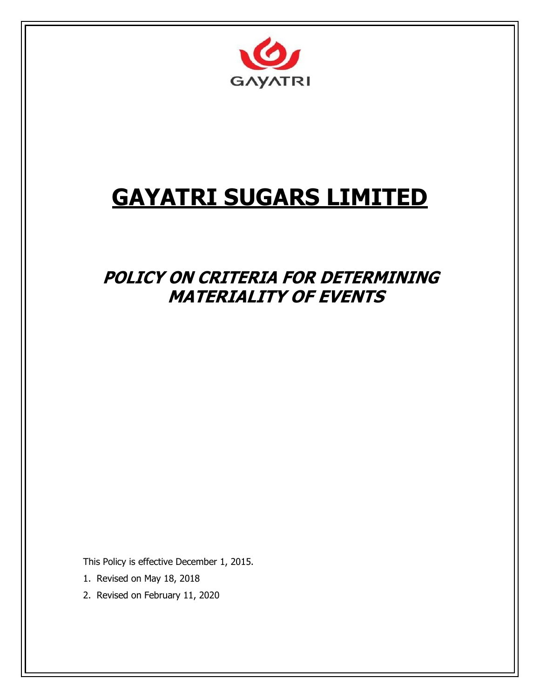

# **GAYATRI SUGARS LIMITED**

# **POLICY ON CRITERIA FOR DETERMINING MATERIALITY OF EVENTS**

This Policy is effective December 1, 2015.

- 1. Revised on May 18, 2018
- 2. Revised on February 11, 2020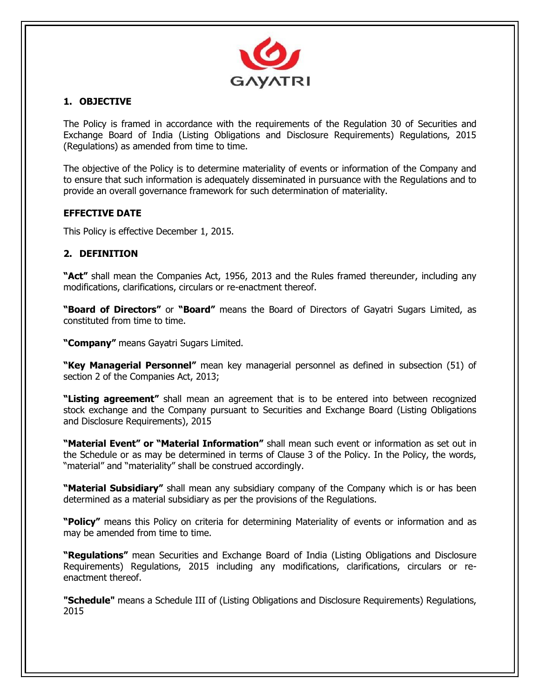

# **1. OBJECTIVE**

The Policy is framed in accordance with the requirements of the Regulation 30 of Securities and Exchange Board of India (Listing Obligations and Disclosure Requirements) Regulations, 2015 (Regulations) as amended from time to time.

The objective of the Policy is to determine materiality of events or information of the Company and to ensure that such information is adequately disseminated in pursuance with the Regulations and to provide an overall governance framework for such determination of materiality.

# **EFFECTIVE DATE**

This Policy is effective December 1, 2015.

# **2. DEFINITION**

**"Act"** shall mean the Companies Act, 1956, 2013 and the Rules framed thereunder, including any modifications, clarifications, circulars or re-enactment thereof.

**"Board of Directors"** or **"Board"** means the Board of Directors of Gayatri Sugars Limited, as constituted from time to time.

**"Company"** means Gayatri Sugars Limited.

**"Key Managerial Personnel"** mean key managerial personnel as defined in subsection (51) of section 2 of the Companies Act, 2013;

**"Listing agreement"** shall mean an agreement that is to be entered into between recognized stock exchange and the Company pursuant to Securities and Exchange Board (Listing Obligations and Disclosure Requirements), 2015

**"Material Event" or "Material Information"** shall mean such event or information as set out in the Schedule or as may be determined in terms of Clause 3 of the Policy. In the Policy, the words, "material" and "materiality" shall be construed accordingly.

**"Material Subsidiary"** shall mean any subsidiary company of the Company which is or has been determined as a material subsidiary as per the provisions of the Regulations.

**"Policy"** means this Policy on criteria for determining Materiality of events or information and as may be amended from time to time.

**"Regulations"** mean Securities and Exchange Board of India (Listing Obligations and Disclosure Requirements) Regulations, 2015 including any modifications, clarifications, circulars or reenactment thereof.

**"Schedule"** means a Schedule III of (Listing Obligations and Disclosure Requirements) Regulations, 2015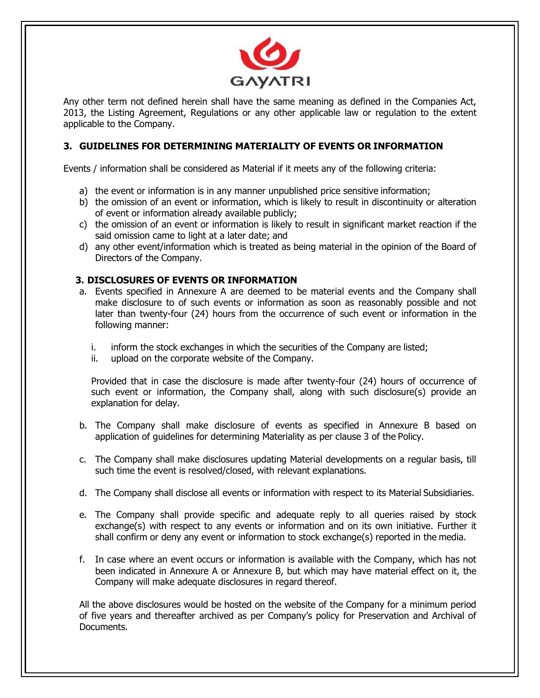

Any other term not defined herein shall have the same meaning as defined in the Companies Act, 2013, the Listing Agreement, Regulations or any other applicable law or regulation to the extent applicable to the Company.

#### **3. GUIDELINES FOR DETERMINING MATERIALITY OF EVENTS OR INFORMATION**

Events / information shall be considered as Material if it meets any of the following criteria:

- a) the event or information is in any manner unpublished price sensitive information;
- b) the omission of an event or information, which is likely to result in discontinuity or alteration of event or information already available publicly;
- c) the omission of an event or information is likely to result in significant market reaction if the said omission came to light at a later date; and
- d) any other event/information which is treated as being material in the opinion of the Board of Directors of the Company.

#### **3. DISCLOSURES OF EVENTS OR INFORMATION**

- a. Events specified in Annexure A are deemed to be material events and the Company shall make disclosure to of such events or information as soon as reasonably possible and not later than twenty-four (24) hours from the occurrence of such event or information in the following manner:
	- i. inform the stock exchanges in which the securities of the Company are listed;
	- ii. upload on the corporate website of the Company.

Provided that in case the disclosure is made after twenty-four (24) hours of occurrence of such event or information, the Company shall, along with such disclosure(s) provide an explanation for delay.

- b. The Company shall make disclosure of events as specified in Annexure B based on application of guidelines for determining Materiality as per clause 3 of the Policy.
- c. The Company shall make disclosures updating Material developments on a regular basis, till such time the event is resolved/closed, with relevant explanations.
- d. The Company shall disclose all events or information with respect to its Material Subsidiaries.
- e. The Company shall provide specific and adequate reply to all queries raised by stock exchange(s) with respect to any events or information and on its own initiative. Further it shall confirm or deny any event or information to stock exchange(s) reported in the media.
- f. In case where an event occurs or information is available with the Company, which has not been indicated in Annexure A or Annexure B, but which may have material effect on it, the Company will make adequate disclosures in regard thereof.

All the above disclosures would be hosted on the website of the Company for a minimum period of five years and thereafter archived as per Company's policy for Preservation and Archival of Documents.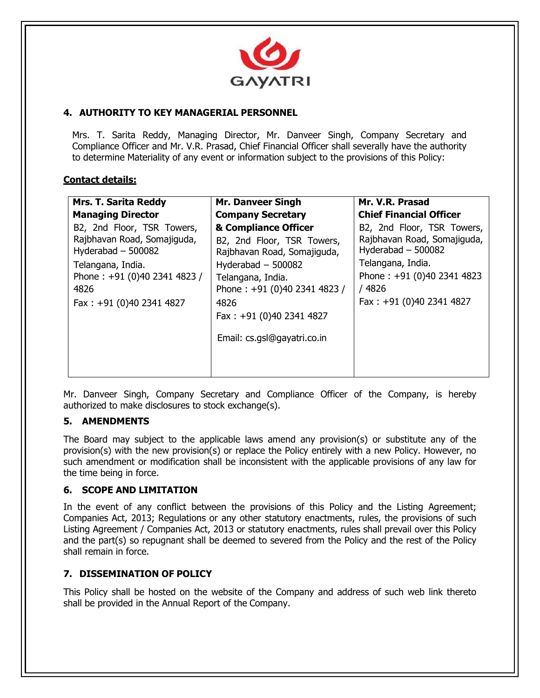

# **4. AUTHORITY TO KEY MANAGERIAL PERSONNEL**

Mrs. T. Sarita Reddy, Managing Director, Mr. Danveer Singh, Company Secretary and Compliance Officer and Mr. V.R. Prasad, Chief Financial Officer shall severally have the authority to determine Materiality of any event or information subject to the provisions of this Policy:

#### **Contact details:**

| <b>Mrs. T. Sarita Reddy</b>                                                                                                                                               | <b>Mr. Danveer Singh</b>                                                                                                                                                                                                           | Mr. V.R. Prasad                                                                                                                                                         |
|---------------------------------------------------------------------------------------------------------------------------------------------------------------------------|------------------------------------------------------------------------------------------------------------------------------------------------------------------------------------------------------------------------------------|-------------------------------------------------------------------------------------------------------------------------------------------------------------------------|
| <b>Managing Director</b>                                                                                                                                                  | <b>Company Secretary</b>                                                                                                                                                                                                           | <b>Chief Financial Officer</b>                                                                                                                                          |
| B2, 2nd Floor, TSR Towers,<br>Rajbhavan Road, Somajiguda,<br>Hyderabad $-500082$<br>Telangana, India.<br>Phone: +91 (0)40 2341 4823 /<br>4826<br>Fax: +91 (0)40 2341 4827 | & Compliance Officer<br>B2, 2nd Floor, TSR Towers,<br>Rajbhavan Road, Somajiguda,<br>Hyderabad $-500082$<br>Telangana, India.<br>Phone: +91 (0)40 2341 4823 /<br>4826<br>Fax: $+91$ (0)40 2341 4827<br>Email: cs.gsl@gayatri.co.in | B2, 2nd Floor, TSR Towers,<br>Rajbhavan Road, Somajiguda,<br>Hyderabad - 500082<br>Telangana, India.<br>Phone: +91 (0)40 2341 4823<br>/4826<br>Fax: +91 (0)40 2341 4827 |

Mr. Danveer Singh, Company Secretary and Compliance Officer of the Company, is hereby authorized to make disclosures to stock exchange(s).

#### **5. AMENDMENTS**

The Board may subject to the applicable laws amend any provision(s) or substitute any of the provision(s) with the new provision(s) or replace the Policy entirely with a new Policy. However, no such amendment or modification shall be inconsistent with the applicable provisions of any law for the time being in force.

#### **6. SCOPE AND LIMITATION**

In the event of any conflict between the provisions of this Policy and the Listing Agreement; Companies Act, 2013; Regulations or any other statutory enactments, rules, the provisions of such Listing Agreement / Companies Act, 2013 or statutory enactments, rules shall prevail over this Policy and the part(s) so repugnant shall be deemed to severed from the Policy and the rest of the Policy shall remain in force.

#### **7. DISSEMINATION OF POLICY**

This Policy shall be hosted on the website of the Company and address of such web link thereto shall be provided in the Annual Report of the Company.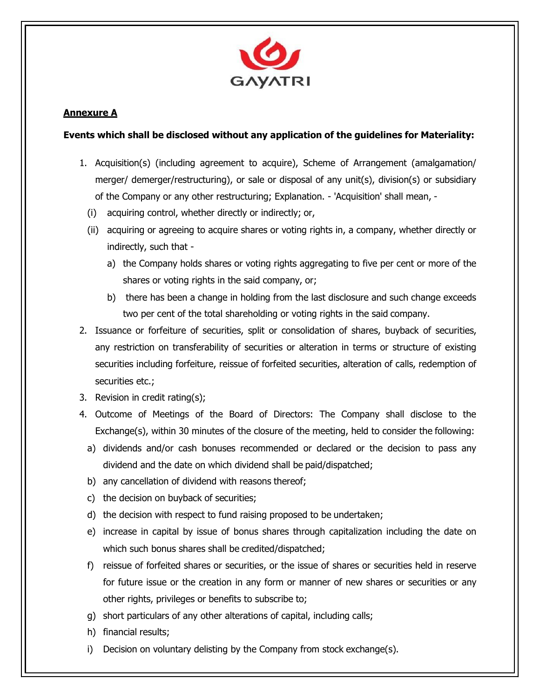

# **Annexure A**

#### **Events which shall be disclosed without any application of the guidelines for Materiality:**

- 1. Acquisition(s) (including agreement to acquire), Scheme of Arrangement (amalgamation/ merger/ demerger/restructuring), or sale or disposal of any unit(s), division(s) or subsidiary of the Company or any other restructuring; Explanation. - 'Acquisition' shall mean, -
	- (i) acquiring control, whether directly or indirectly; or,
	- (ii) acquiring or agreeing to acquire shares or voting rights in, a company, whether directly or indirectly, such that
		- a) the Company holds shares or voting rights aggregating to five per cent or more of the shares or voting rights in the said company, or;
		- b) there has been a change in holding from the last disclosure and such change exceeds two per cent of the total shareholding or voting rights in the said company.
- 2. Issuance or forfeiture of securities, split or consolidation of shares, buyback of securities, any restriction on transferability of securities or alteration in terms or structure of existing securities including forfeiture, reissue of forfeited securities, alteration of calls, redemption of securities etc.;
- 3. Revision in credit rating(s);
- 4. Outcome of Meetings of the Board of Directors: The Company shall disclose to the Exchange(s), within 30 minutes of the closure of the meeting, held to consider the following:
	- a) dividends and/or cash bonuses recommended or declared or the decision to pass any dividend and the date on which dividend shall be paid/dispatched;
	- b) any cancellation of dividend with reasons thereof;
	- c) the decision on buyback of securities;
	- d) the decision with respect to fund raising proposed to be undertaken;
	- e) increase in capital by issue of bonus shares through capitalization including the date on which such bonus shares shall be credited/dispatched;
	- f) reissue of forfeited shares or securities, or the issue of shares or securities held in reserve for future issue or the creation in any form or manner of new shares or securities or any other rights, privileges or benefits to subscribe to;
	- g) short particulars of any other alterations of capital, including calls;
	- h) financial results;
	- i) Decision on voluntary delisting by the Company from stock exchange(s).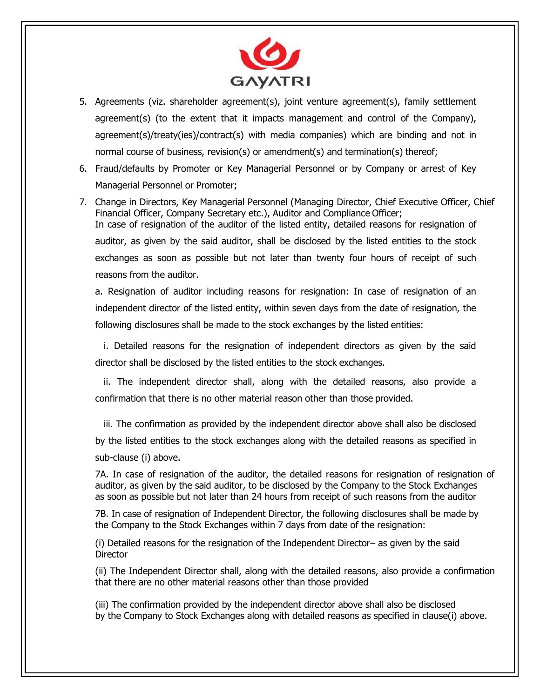

- 5. Agreements (viz. shareholder agreement(s), joint venture agreement(s), family settlement agreement(s) (to the extent that it impacts management and control of the Company), agreement(s)/treaty(ies)/contract(s) with media companies) which are binding and not in normal course of business, revision(s) or amendment(s) and termination(s) thereof;
- 6. Fraud/defaults by Promoter or Key Managerial Personnel or by Company or arrest of Key Managerial Personnel or Promoter;
- 7. Change in Directors, Key Managerial Personnel (Managing Director, Chief Executive Officer, Chief Financial Officer, Company Secretary etc.), Auditor and Compliance Officer; In case of resignation of the auditor of the listed entity, detailed reasons for resignation of auditor, as given by the said auditor, shall be disclosed by the listed entities to the stock exchanges as soon as possible but not later than twenty four hours of receipt of such reasons from the auditor.

a. Resignation of auditor including reasons for resignation: In case of resignation of an independent director of the listed entity, within seven days from the date of resignation, the following disclosures shall be made to the stock exchanges by the listed entities:

i. Detailed reasons for the resignation of independent directors as given by the said director shall be disclosed by the listed entities to the stock exchanges.

ii. The independent director shall, along with the detailed reasons, also provide a confirmation that there is no other material reason other than those provided.

iii. The confirmation as provided by the independent director above shall also be disclosed by the listed entities to the stock exchanges along with the detailed reasons as specified in sub-clause (i) above.

7A. In case of resignation of the auditor, the detailed reasons for resignation of resignation of auditor, as given by the said auditor, to be disclosed by the Company to the Stock Exchanges as soon as possible but not later than 24 hours from receipt of such reasons from the auditor

7B. In case of resignation of Independent Director, the following disclosures shall be made by the Company to the Stock Exchanges within 7 days from date of the resignation:

(i) Detailed reasons for the resignation of the Independent Director– as given by the said **Director** 

(ii) The Independent Director shall, along with the detailed reasons, also provide a confirmation that there are no other material reasons other than those provided

(iii) The confirmation provided by the independent director above shall also be disclosed by the Company to Stock Exchanges along with detailed reasons as specified in clause(i) above.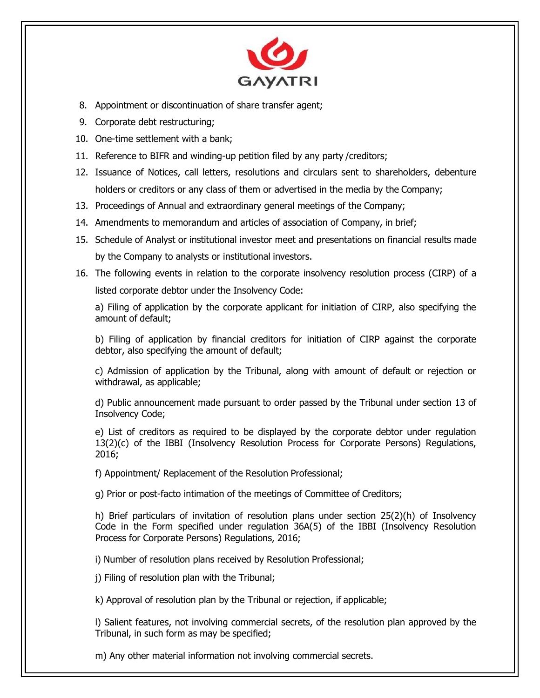

- 8. Appointment or discontinuation of share transfer agent;
- 9. Corporate debt restructuring;
- 10. One-time settlement with a bank;
- 11. Reference to BIFR and winding-up petition filed by any party /creditors;
- 12. Issuance of Notices, call letters, resolutions and circulars sent to shareholders, debenture holders or creditors or any class of them or advertised in the media by the Company;
- 13. Proceedings of Annual and extraordinary general meetings of the Company;
- 14. Amendments to memorandum and articles of association of Company, in brief;
- 15. Schedule of Analyst or institutional investor meet and presentations on financial results made by the Company to analysts or institutional investors.
- 16. The following events in relation to the corporate insolvency resolution process (CIRP) of a listed corporate debtor under the Insolvency Code:

a) Filing of application by the corporate applicant for initiation of CIRP, also specifying the amount of default;

b) Filing of application by financial creditors for initiation of CIRP against the corporate debtor, also specifying the amount of default;

c) Admission of application by the Tribunal, along with amount of default or rejection or withdrawal, as applicable;

d) Public announcement made pursuant to order passed by the Tribunal under section 13 of Insolvency Code;

e) List of creditors as required to be displayed by the corporate debtor under regulation 13(2)(c) of the IBBI (Insolvency Resolution Process for Corporate Persons) Regulations, 2016;

f) Appointment/ Replacement of the Resolution Professional;

g) Prior or post-facto intimation of the meetings of Committee of Creditors;

h) Brief particulars of invitation of resolution plans under section 25(2)(h) of Insolvency Code in the Form specified under regulation 36A(5) of the IBBI (Insolvency Resolution Process for Corporate Persons) Regulations, 2016;

i) Number of resolution plans received by Resolution Professional;

j) Filing of resolution plan with the Tribunal;

k) Approval of resolution plan by the Tribunal or rejection, if applicable;

l) Salient features, not involving commercial secrets, of the resolution plan approved by the Tribunal, in such form as may be specified;

m) Any other material information not involving commercial secrets.